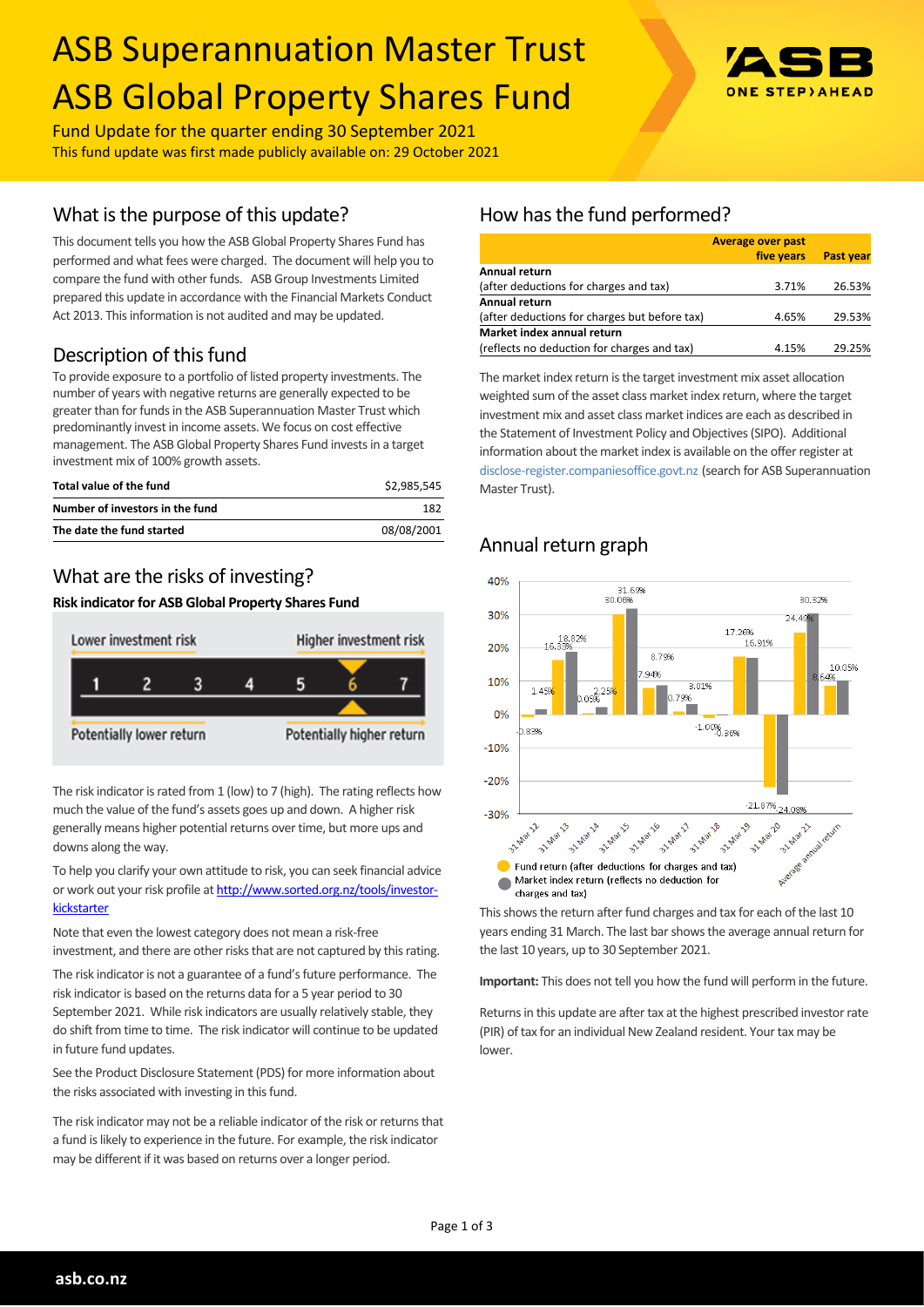# ASB Superannuation Master Trust ASB Global Property Shares Fund



Fund Update for the quarter ending 30 September 2021 This fund update was first made publicly available on: 29 October 2021

## What is the purpose of this update?

This document tells you how the ASB Global Property Shares Fund has performed and what fees were charged. The document will help you to compare the fund with other funds. ASB Group Investments Limited prepared this update in accordance with the Financial Markets Conduct Act 2013. This information is not audited and may be updated.

# Description of this fund

To provide exposure to a portfolio of listed property investments. The number of years with negative returns are generally expected to be greater than for funds in the ASB Superannuation Master Trust which predominantly invest in income assets. We focus on cost effective management. The ASB Global Property Shares Fund invests in a target investment mix of 100% growth assets.

| Total value of the fund         | \$2.985.545 |
|---------------------------------|-------------|
| Number of investors in the fund | 182         |
| The date the fund started       | 08/08/2001  |

# What are the risks of investing?

#### **Risk indicator for ASB Global Property Shares Fund**



The risk indicator is rated from 1 (low) to 7 (high). The rating reflects how much the value of the fund's assets goes up and down. A higher risk generally means higher potential returns over time, but more ups and downs along the way.

To help you clarify your own attitude to risk, you can seek financial advice or work out your risk profile at [http://www.sorted.org.nz/tools/investor](http://www.sorted.org.nz/tools/investor-kickstarter)**[kickstarter](http://www.sorted.org.nz/tools/investor-kickstarter)** 

Note that even the lowest category does not mean a risk-free investment, and there are other risks that are not captured by this rating.

The risk indicator is not a guarantee of a fund's future performance. The risk indicator is based on the returns data for a 5 year period to 30 September 2021. While risk indicators are usually relatively stable, they do shift from time to time. The risk indicator will continue to be updated in future fund updates.

See the Product Disclosure Statement (PDS) for more information about the risks associated with investing in this fund.

The risk indicator may not be a reliable indicator of the risk or returns that a fund is likely to experience in the future. For example, the risk indicator may be different if it was based on returns over a longer period.

# How has the fund performed?

|                                               | <b>Average over past</b> |                  |
|-----------------------------------------------|--------------------------|------------------|
|                                               | five years               | <b>Past year</b> |
| Annual return                                 |                          |                  |
| (after deductions for charges and tax)        | 3.71%                    | 26.53%           |
| <b>Annual return</b>                          |                          |                  |
| (after deductions for charges but before tax) | 4.65%                    | 29.53%           |
| Market index annual return                    |                          |                  |
| (reflects no deduction for charges and tax)   | 4.15%                    | 29.25%           |

The market index return is the target investment mix asset allocation weighted sum of the asset class market index return, where the target investment mix and asset class market indices are each as described in the Statement of Investment Policy and Objectives (SIPO). Additional information about the market index is available on the offer register at [disclose-register.companiesoffice.govt.nz](http://www.business.govt.nz/disclose/) (search for ASB Superannuation Master Trust).

## Annual return graph



This shows the return after fund charges and tax for each of the last 10 years ending 31 March. The last bar shows the average annual return for the last 10 years, up to 30 September 2021.

**Important:** This does not tell you how the fund will perform in the future.

Returns in this update are after tax at the highest prescribed investor rate (PIR) of tax for an individual New Zealand resident. Your tax may be lower.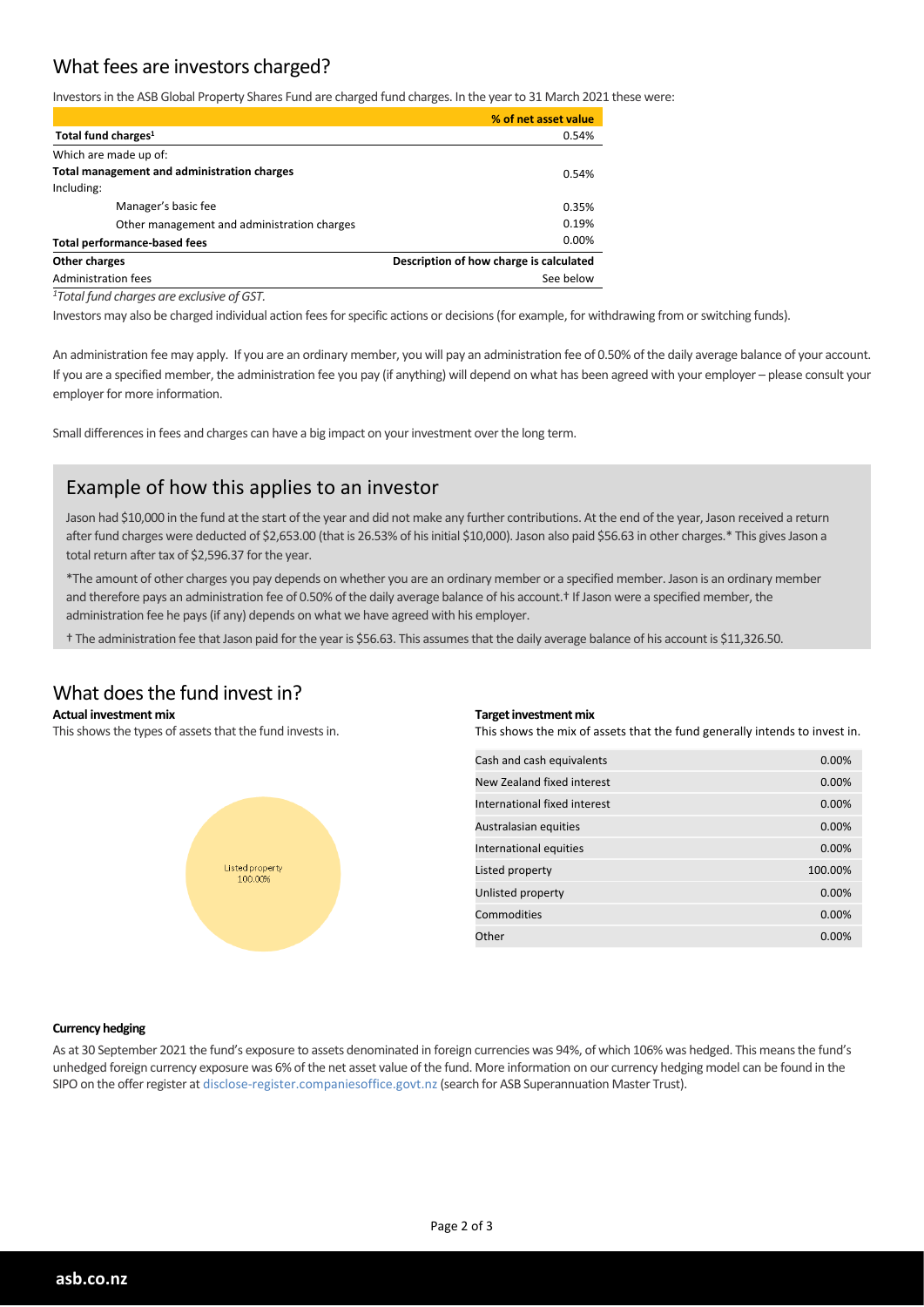## What fees are investors charged?

Investors in the ASB Global Property Shares Fund are charged fund charges. In the year to 31 March 2021 these were:

|                                                          | % of net asset value |
|----------------------------------------------------------|----------------------|
| Total fund charges <sup>1</sup>                          | 0.54%                |
| Which are made up of:                                    |                      |
| Total management and administration charges              | 0.54%                |
| Including:                                               |                      |
| Manager's basic fee                                      | 0.35%                |
| Other management and administration charges              | 0.19%                |
| <b>Total performance-based fees</b>                      | $0.00\%$             |
| Description of how charge is calculated<br>Other charges |                      |
| Administration fees                                      | See below            |
|                                                          |                      |

*<sup>1</sup>Total fund charges are exclusive of GST.*

Investors may also be charged individual action fees for specific actions or decisions (for example, for withdrawing from or switching funds).

An administration fee may apply. If you are an ordinary member, you will pay an administration fee of 0.50% of the daily average balance of your account. If you are a specified member, the administration fee you pay (if anything) will depend on what has been agreed with your employer – please consult your employer for more information.

Small differences in fees and charges can have a big impact on your investment over the long term.

## Example of how this applies to an investor

Jason had \$10,000 in the fund at the start of the year and did not make any further contributions. At the end of the year, Jason received a return after fund charges were deducted of \$2,653.00 (that is 26.53% of his initial \$10,000). Jason also paid \$56.63 in other charges.\* This gives Jason a total return after tax of \$2,596.37 for the year.

\*The amount of other charges you pay depends on whether you are an ordinary member or a specified member. Jason is an ordinary member and therefore pays an administration fee of 0.50% of the daily average balance of his account.<sup>†</sup> If Jason were a specified member, the administration fee he pays (if any) depends on what we have agreed with his employer.

† The administration fee that Jason paid for the year is \$56.63. This assumes that the daily average balance of his account is \$11,326.50.

#### What does the fund invest in?

#### **Actual investment mix**

This shows the types of assets that the fund invests in.



#### **Target investment mix**

This shows the mix of assets that the fund generally intends to invest in.

| Cash and cash equivalents    | $0.00\%$ |
|------------------------------|----------|
| New Zealand fixed interest   | $0.00\%$ |
| International fixed interest | 0.00%    |
| Australasian equities        | $0.00\%$ |
| International equities       | $0.00\%$ |
| Listed property              | 100.00%  |
| Unlisted property            | $0.00\%$ |
| Commodities                  | $0.00\%$ |
| Other                        | 0.00%    |

#### **Currency hedging**

As at 30 September 2021 the fund's exposure to assets denominated in foreign currencies was 94%, of which 106% was hedged. This means the fund's unhedged foreign currency exposure was 6% of the net asset value of the fund. More information on our currency hedging model can be found in the SIPO on the offer register at disclose-register.companiesoffice.govt.nz (search for ASB Superannuation Master Trust).